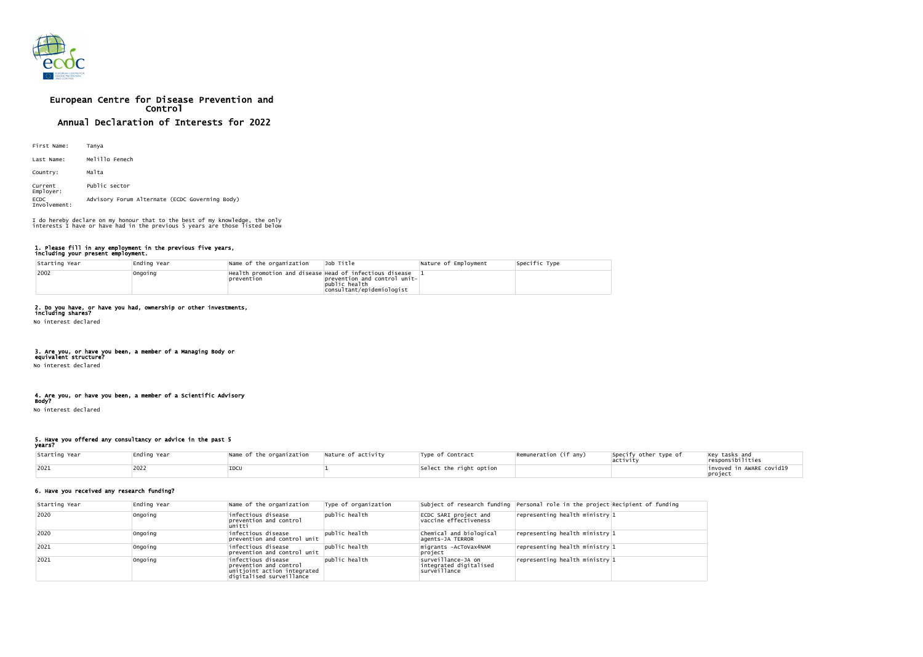

# European Centre for Disease Prevention and Control Annual Declaration of Interests for 2022

| First Name:                 | Tanya                                          |
|-----------------------------|------------------------------------------------|
| Last Name:                  | Melillo Fenech                                 |
| Country:                    | Malta                                          |
| Current<br>Employer:        | Public sector                                  |
| <b>ECDC</b><br>Involvement: | Advisory Forum Alternate (ECDC Governing Body) |

### 1. Please fill in any employment in the previous five years, including your present employment.

| Starting Year | Ending Year | Name of the organization                                               | Job Title                                                                          | Nature of Employment | Specific Type |
|---------------|-------------|------------------------------------------------------------------------|------------------------------------------------------------------------------------|----------------------|---------------|
| 2002          | Ongoing     | Health promotion and disease Head of infectious disease<br> prevention | $ prevention$ and control unit- $ $<br>public health<br> consultant/epidemiologist |                      |               |

## 2. Do you have, or have you had, ownership or other investments,

including shares? No interest declared

## 3. Are you, or have you been, a member of a Managing Body or

equivalent structure? No interest declared

#### 4. Are you, or have you been, a member of a Scientific Advisory Body?

No interest declared

#### 5. Have you offered any consultancy or advice in the past 5 years?

| Starting Year | Ending Year | Name of the organization | Nature of activity | Type of Contract        | Remuneration (if any) | Specify other type of<br>actıvıtv | Key tasks and<br>responsibilities   |
|---------------|-------------|--------------------------|--------------------|-------------------------|-----------------------|-----------------------------------|-------------------------------------|
| 2021          | 2022        | IDCU                     |                    | Select the right option |                       |                                   | invoved in AWARE covid19<br>project |

## 6. Have you received any research funding?

| Starting Year | Ending Year | Name of the organization                                                                                | Type of organization |                                                              | subject of research funding Personal role in the project Recipient of funding |  |
|---------------|-------------|---------------------------------------------------------------------------------------------------------|----------------------|--------------------------------------------------------------|-------------------------------------------------------------------------------|--|
| 2020          | Ongoing     | infectious disease<br>prevention and control<br>unitti                                                  | public health        | ECDC SARI project and<br>vaccine effectiveness               | representing health ministry $1$                                              |  |
| 2020          | Ongoing     | infectious disease<br>prevention and control unit                                                       | public health        | Chemical and biological<br>agents-JA TERROR                  | representing headth ministry 1                                                |  |
| 2021          | Ongoing     | infectious disease<br>prevention and control unit                                                       | public health        | migrants -AcToVax4NAM<br> project                            | representing health ministry $1$                                              |  |
| 2021          | Ongoing     | infectious disease<br>prevention and control<br>unitjoint action integrated<br>digitalised surveillance | public health        | surveillance-JA on<br>integrated digitalised<br>surveillance | representing health ministry $1$                                              |  |

I do hereby declare on my honour that to the best of my knowledge, the only interests I have or have had in the previous 5 years are those listed below